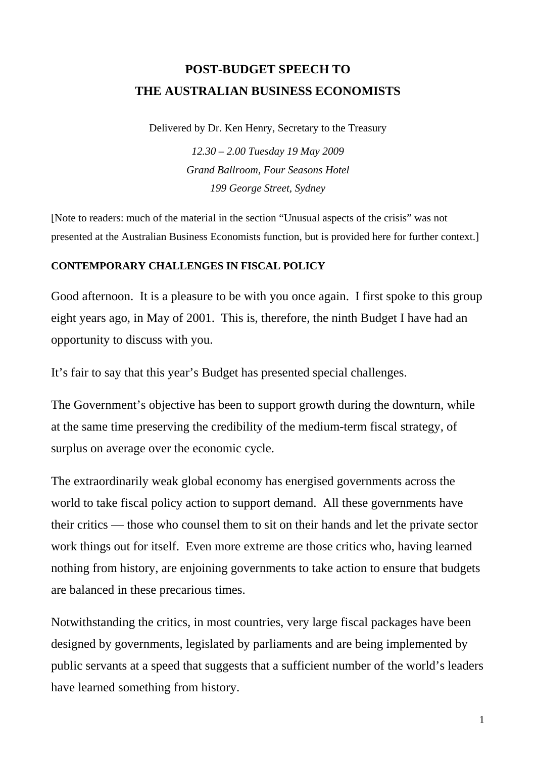# **POST-BUDGET SPEECH TO THE AUSTRALIAN BUSINESS ECONOMISTS**

Delivered by Dr. Ken Henry, Secretary to the Treasury

*12.30 – 2.00 Tuesday 19 May 2009 Grand Ballroom, Four Seasons Hotel 199 George Street, Sydney* 

[Note to readers: much of the material in the section "Unusual aspects of the crisis" was not presented at the Australian Business Economists function, but is provided here for further context.]

#### **CONTEMPORARY CHALLENGES IN FISCAL POLICY**

Good afternoon. It is a pleasure to be with you once again. I first spoke to this group eight years ago, in May of 2001. This is, therefore, the ninth Budget I have had an opportunity to discuss with you.

It's fair to say that this year's Budget has presented special challenges.

The Government's objective has been to support growth during the downturn, while at the same time preserving the credibility of the medium-term fiscal strategy, of surplus on average over the economic cycle.

The extraordinarily weak global economy has energised governments across the world to take fiscal policy action to support demand. All these governments have their critics — those who counsel them to sit on their hands and let the private sector work things out for itself. Even more extreme are those critics who, having learned nothing from history, are enjoining governments to take action to ensure that budgets are balanced in these precarious times.

Notwithstanding the critics, in most countries, very large fiscal packages have been designed by governments, legislated by parliaments and are being implemented by public servants at a speed that suggests that a sufficient number of the world's leaders have learned something from history.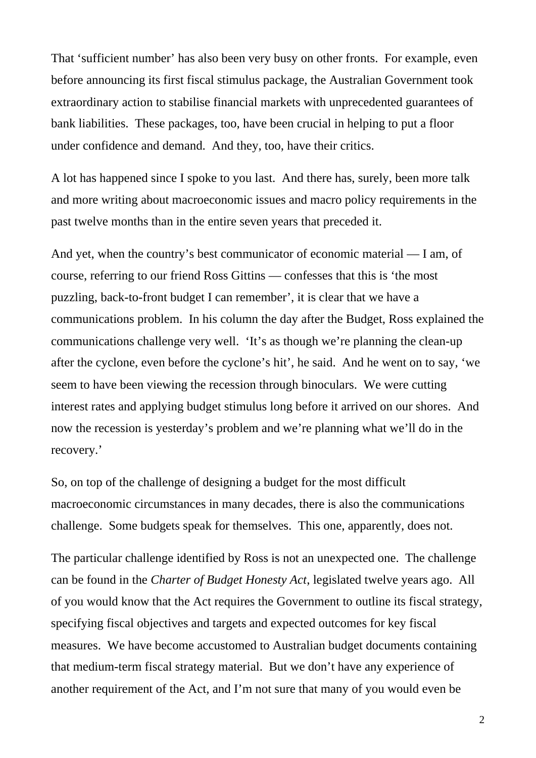That 'sufficient number' has also been very busy on other fronts. For example, even before announcing its first fiscal stimulus package, the Australian Government took extraordinary action to stabilise financial markets with unprecedented guarantees of bank liabilities. These packages, too, have been crucial in helping to put a floor under confidence and demand. And they, too, have their critics.

A lot has happened since I spoke to you last. And there has, surely, been more talk and more writing about macroeconomic issues and macro policy requirements in the past twelve months than in the entire seven years that preceded it.

And yet, when the country's best communicator of economic material — I am, of course, referring to our friend Ross Gittins — confesses that this is 'the most puzzling, back-to-front budget I can remember', it is clear that we have a communications problem. In his column the day after the Budget, Ross explained the communications challenge very well. 'It's as though we're planning the clean-up after the cyclone, even before the cyclone's hit', he said. And he went on to say, 'we seem to have been viewing the recession through binoculars. We were cutting interest rates and applying budget stimulus long before it arrived on our shores. And now the recession is yesterday's problem and we're planning what we'll do in the recovery.'

So, on top of the challenge of designing a budget for the most difficult macroeconomic circumstances in many decades, there is also the communications challenge. Some budgets speak for themselves. This one, apparently, does not.

The particular challenge identified by Ross is not an unexpected one. The challenge can be found in the *Charter of Budget Honesty Act*, legislated twelve years ago. All of you would know that the Act requires the Government to outline its fiscal strategy, specifying fiscal objectives and targets and expected outcomes for key fiscal measures. We have become accustomed to Australian budget documents containing that medium-term fiscal strategy material. But we don't have any experience of another requirement of the Act, and I'm not sure that many of you would even be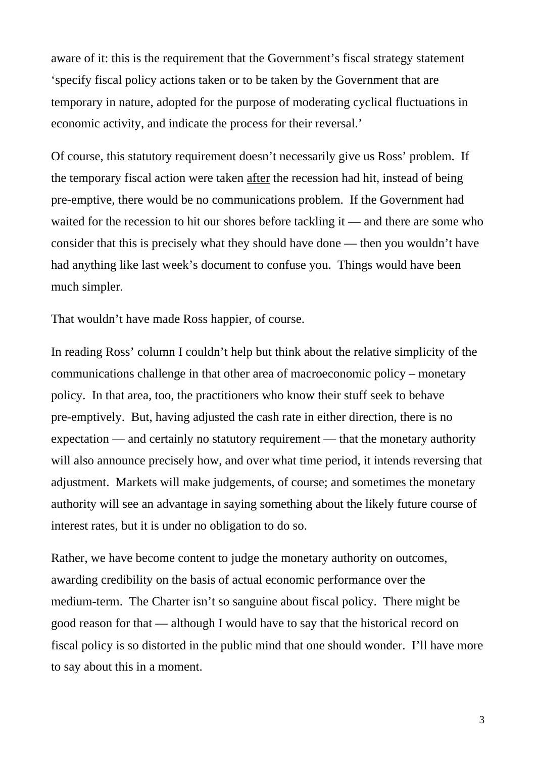aware of it: this is the requirement that the Government's fiscal strategy statement 'specify fiscal policy actions taken or to be taken by the Government that are temporary in nature, adopted for the purpose of moderating cyclical fluctuations in economic activity, and indicate the process for their reversal.'

Of course, this statutory requirement doesn't necessarily give us Ross' problem. If the temporary fiscal action were taken after the recession had hit, instead of being pre-emptive, there would be no communications problem. If the Government had waited for the recession to hit our shores before tackling it — and there are some who consider that this is precisely what they should have done — then you wouldn't have had anything like last week's document to confuse you. Things would have been much simpler.

That wouldn't have made Ross happier, of course.

In reading Ross' column I couldn't help but think about the relative simplicity of the communications challenge in that other area of macroeconomic policy – monetary policy. In that area, too, the practitioners who know their stuff seek to behave pre-emptively. But, having adjusted the cash rate in either direction, there is no expectation — and certainly no statutory requirement — that the monetary authority will also announce precisely how, and over what time period, it intends reversing that adjustment. Markets will make judgements, of course; and sometimes the monetary authority will see an advantage in saying something about the likely future course of interest rates, but it is under no obligation to do so.

Rather, we have become content to judge the monetary authority on outcomes, awarding credibility on the basis of actual economic performance over the medium-term. The Charter isn't so sanguine about fiscal policy. There might be good reason for that — although I would have to say that the historical record on fiscal policy is so distorted in the public mind that one should wonder. I'll have more to say about this in a moment.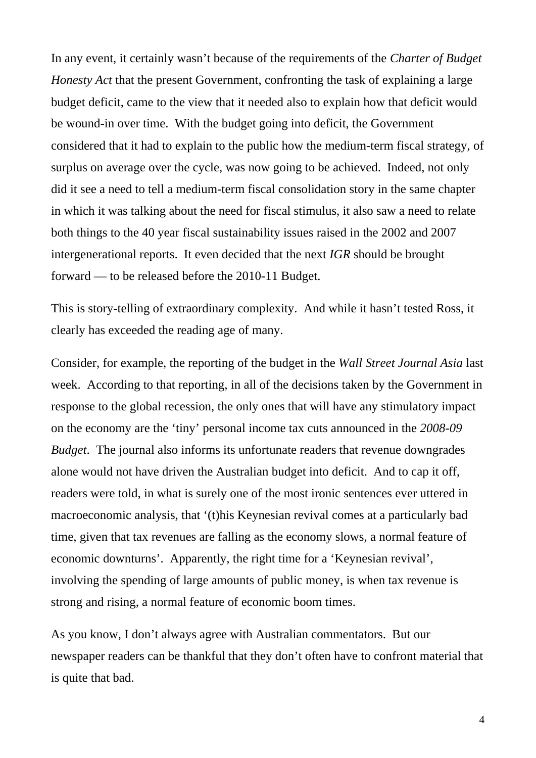In any event, it certainly wasn't because of the requirements of the *Charter of Budget Honesty Act* that the present Government, confronting the task of explaining a large budget deficit, came to the view that it needed also to explain how that deficit would be wound-in over time. With the budget going into deficit, the Government considered that it had to explain to the public how the medium-term fiscal strategy, of surplus on average over the cycle, was now going to be achieved. Indeed, not only did it see a need to tell a medium-term fiscal consolidation story in the same chapter in which it was talking about the need for fiscal stimulus, it also saw a need to relate both things to the 40 year fiscal sustainability issues raised in the 2002 and 2007 intergenerational reports. It even decided that the next *IGR* should be brought forward — to be released before the 2010-11 Budget.

This is story-telling of extraordinary complexity. And while it hasn't tested Ross, it clearly has exceeded the reading age of many.

Consider, for example, the reporting of the budget in the *Wall Street Journal Asia* last week. According to that reporting, in all of the decisions taken by the Government in response to the global recession, the only ones that will have any stimulatory impact on the economy are the 'tiny' personal income tax cuts announced in the *2008-09 Budget*. The journal also informs its unfortunate readers that revenue downgrades alone would not have driven the Australian budget into deficit. And to cap it off, readers were told, in what is surely one of the most ironic sentences ever uttered in macroeconomic analysis, that '(t)his Keynesian revival comes at a particularly bad time, given that tax revenues are falling as the economy slows, a normal feature of economic downturns'. Apparently, the right time for a 'Keynesian revival', involving the spending of large amounts of public money, is when tax revenue is strong and rising, a normal feature of economic boom times.

As you know, I don't always agree with Australian commentators. But our newspaper readers can be thankful that they don't often have to confront material that is quite that bad.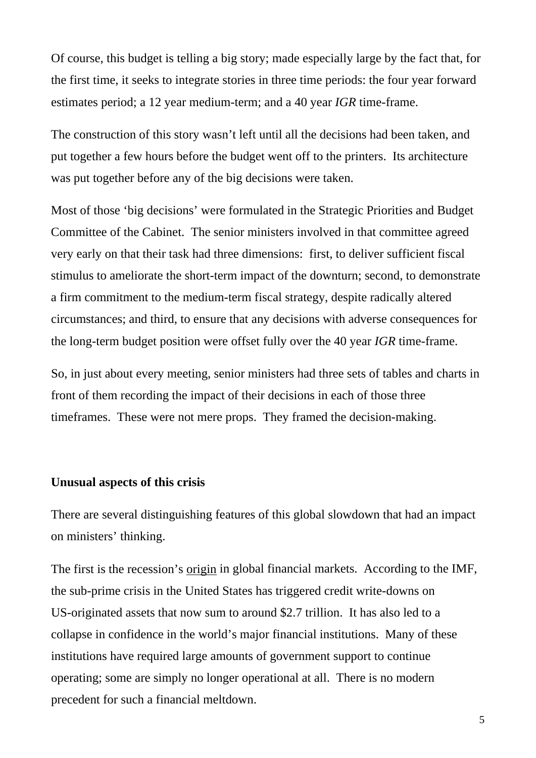Of course, this budget is telling a big story; made especially large by the fact that, for the first time, it seeks to integrate stories in three time periods: the four year forward estimates period; a 12 year medium-term; and a 40 year *IGR* time-frame.

The construction of this story wasn't left until all the decisions had been taken, and put together a few hours before the budget went off to the printers. Its architecture was put together before any of the big decisions were taken.

Most of those 'big decisions' were formulated in the Strategic Priorities and Budget Committee of the Cabinet. The senior ministers involved in that committee agreed very early on that their task had three dimensions: first, to deliver sufficient fiscal stimulus to ameliorate the short-term impact of the downturn; second, to demonstrate a firm commitment to the medium-term fiscal strategy, despite radically altered circumstances; and third, to ensure that any decisions with adverse consequences for the long-term budget position were offset fully over the 40 year *IGR* time-frame.

So, in just about every meeting, senior ministers had three sets of tables and charts in front of them recording the impact of their decisions in each of those three timeframes. These were not mere props. They framed the decision-making.

#### **Unusual aspects of this crisis**

There are several distinguishing features of this global slowdown that had an impact on ministers' thinking.

The first is the recession's origin in global financial markets. According to the IMF, the sub-prime crisis in the United States has triggered credit write-downs on US-originated assets that now sum to around \$2.7 trillion. It has also led to a collapse in confidence in the world's major financial institutions. Many of these institutions have required large amounts of government support to continue operating; some are simply no longer operational at all. There is no modern precedent for such a financial meltdown.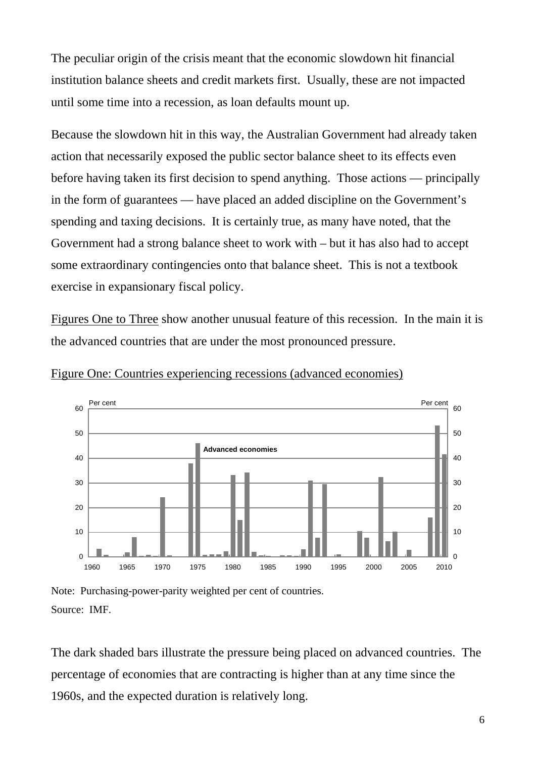The peculiar origin of the crisis meant that the economic slowdown hit financial institution balance sheets and credit markets first. Usually, these are not impacted until some time into a recession, as loan defaults mount up.

Because the slowdown hit in this way, the Australian Government had already taken action that necessarily exposed the public sector balance sheet to its effects even before having taken its first decision to spend anything. Those actions — principally in the form of guarantees — have placed an added discipline on the Government's spending and taxing decisions. It is certainly true, as many have noted, that the Government had a strong balance sheet to work with – but it has also had to accept some extraordinary contingencies onto that balance sheet. This is not a textbook exercise in expansionary fiscal policy.

Figures One to Three show another unusual feature of this recession. In the main it is the advanced countries that are under the most pronounced pressure.



Figure One: Countries experiencing recessions (advanced economies)

Note: Purchasing-power-parity weighted per cent of countries. Source: IMF.

The dark shaded bars illustrate the pressure being placed on advanced countries. The percentage of economies that are contracting is higher than at any time since the 1960s, and the expected duration is relatively long.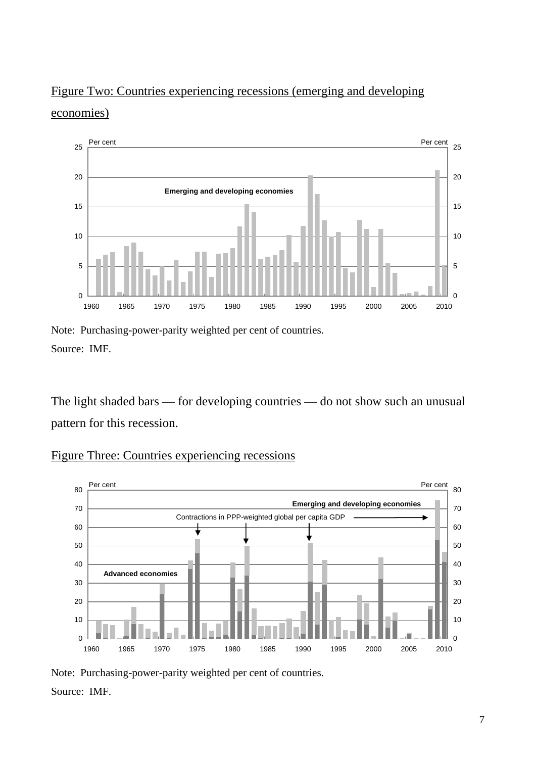# Figure Two: Countries experiencing recessions (emerging and developing economies)



Note: Purchasing-power-parity weighted per cent of countries. Source: IMF.

The light shaded bars — for developing countries — do not show such an unusual pattern for this recession.



# Figure Three: Countries experiencing recessions

Note: Purchasing-power-parity weighted per cent of countries. Source: IMF.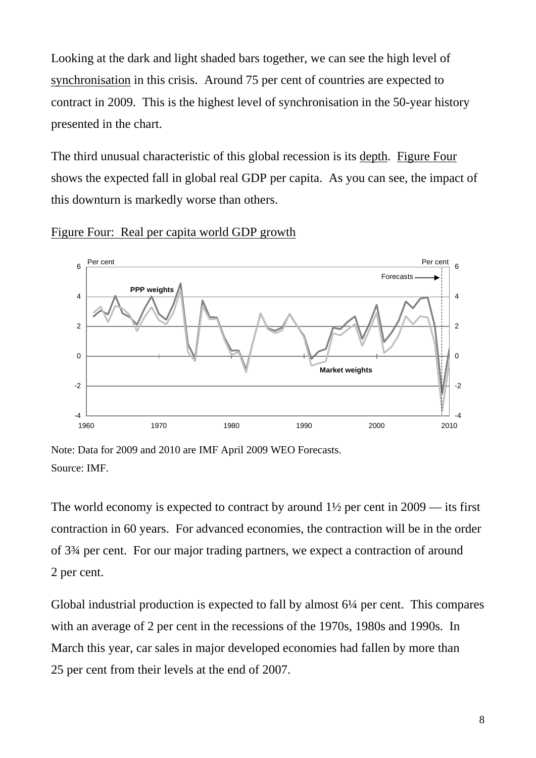Looking at the dark and light shaded bars together, we can see the high level of synchronisation in this crisis. Around 75 per cent of countries are expected to contract in 2009. This is the highest level of synchronisation in the 50-year history presented in the chart.

The third unusual characteristic of this global recession is its depth. Figure Four shows the expected fall in global real GDP per capita. As you can see, the impact of this downturn is markedly worse than others.





Note: Data for 2009 and 2010 are IMF April 2009 WEO Forecasts. Source: IMF.

The world economy is expected to contract by around  $1\frac{1}{2}$  per cent in 2009 — its first contraction in 60 years. For advanced economies, the contraction will be in the order of 3¾ per cent. For our major trading partners, we expect a contraction of around 2 per cent.

Global industrial production is expected to fall by almost 6¼ per cent. This compares with an average of 2 per cent in the recessions of the 1970s, 1980s and 1990s. In March this year, car sales in major developed economies had fallen by more than 25 per cent from their levels at the end of 2007.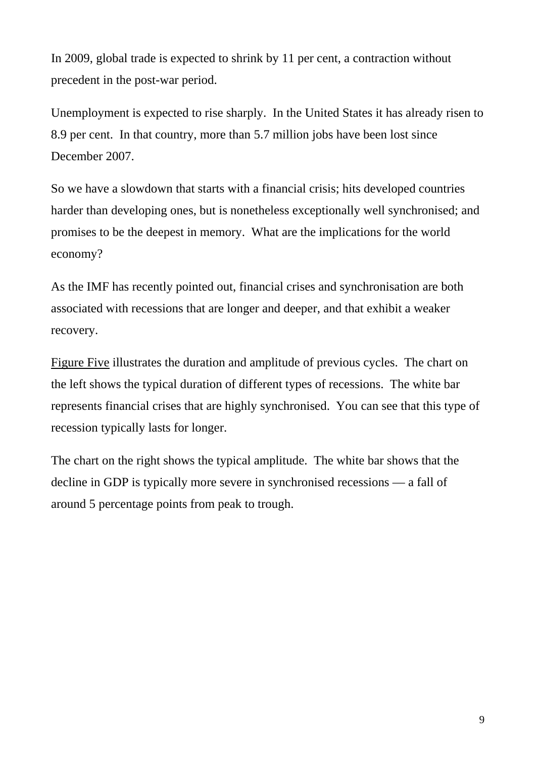In 2009, global trade is expected to shrink by 11 per cent, a contraction without precedent in the post-war period.

Unemployment is expected to rise sharply. In the United States it has already risen to 8.9 per cent. In that country, more than 5.7 million jobs have been lost since December 2007.

So we have a slowdown that starts with a financial crisis; hits developed countries harder than developing ones, but is nonetheless exceptionally well synchronised; and promises to be the deepest in memory. What are the implications for the world economy?

As the IMF has recently pointed out, financial crises and synchronisation are both associated with recessions that are longer and deeper, and that exhibit a weaker recovery.

Figure Five illustrates the duration and amplitude of previous cycles. The chart on the left shows the typical duration of different types of recessions. The white bar represents financial crises that are highly synchronised. You can see that this type of recession typically lasts for longer.

The chart on the right shows the typical amplitude. The white bar shows that the decline in GDP is typically more severe in synchronised recessions — a fall of around 5 percentage points from peak to trough.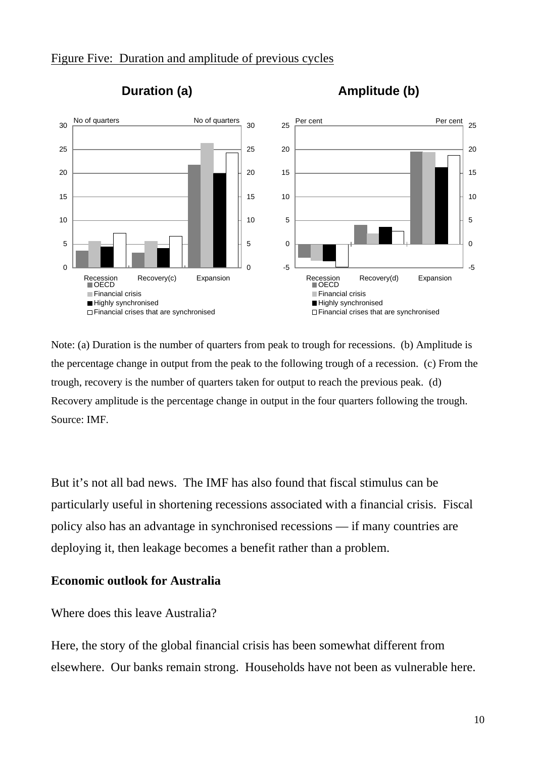## Figure Five: Duration and amplitude of previous cycles





Note: (a) Duration is the number of quarters from peak to trough for recessions. (b) Amplitude is the percentage change in output from the peak to the following trough of a recession. (c) From the trough, recovery is the number of quarters taken for output to reach the previous peak. (d) Recovery amplitude is the percentage change in output in the four quarters following the trough. Source: IMF.

But it's not all bad news. The IMF has also found that fiscal stimulus can be particularly useful in shortening recessions associated with a financial crisis. Fiscal policy also has an advantage in synchronised recessions — if many countries are deploying it, then leakage becomes a benefit rather than a problem.

# **Economic outlook for Australia**

# Where does this leave Australia?

Here, the story of the global financial crisis has been somewhat different from elsewhere. Our banks remain strong. Households have not been as vulnerable here.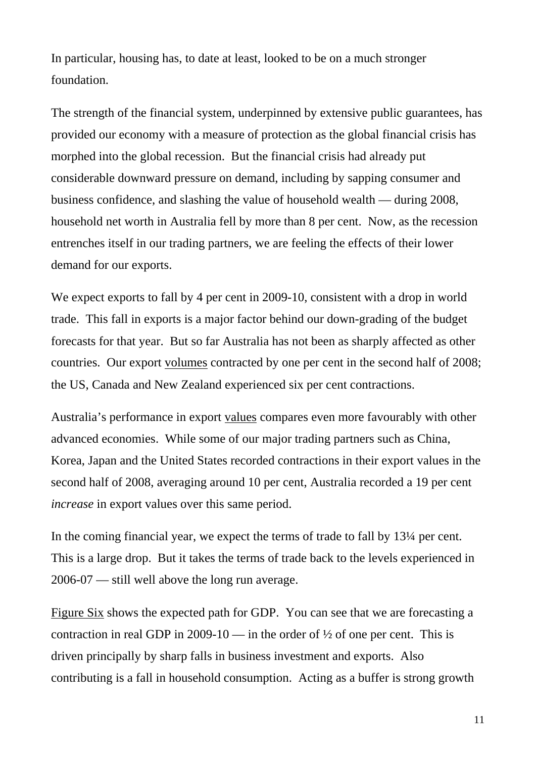In particular, housing has, to date at least, looked to be on a much stronger foundation.

The strength of the financial system, underpinned by extensive public guarantees, has provided our economy with a measure of protection as the global financial crisis has morphed into the global recession. But the financial crisis had already put considerable downward pressure on demand, including by sapping consumer and business confidence, and slashing the value of household wealth — during 2008, household net worth in Australia fell by more than 8 per cent. Now, as the recession entrenches itself in our trading partners, we are feeling the effects of their lower demand for our exports.

We expect exports to fall by 4 per cent in 2009-10, consistent with a drop in world trade. This fall in exports is a major factor behind our down-grading of the budget forecasts for that year. But so far Australia has not been as sharply affected as other countries. Our export volumes contracted by one per cent in the second half of 2008; the US, Canada and New Zealand experienced six per cent contractions.

Australia's performance in export values compares even more favourably with other advanced economies. While some of our major trading partners such as China, Korea, Japan and the United States recorded contractions in their export values in the second half of 2008, averaging around 10 per cent, Australia recorded a 19 per cent *increase* in export values over this same period.

In the coming financial year, we expect the terms of trade to fall by 13¼ per cent. This is a large drop. But it takes the terms of trade back to the levels experienced in 2006-07 — still well above the long run average.

Figure Six shows the expected path for GDP. You can see that we are forecasting a contraction in real GDP in 2009-10 — in the order of  $\frac{1}{2}$  of one per cent. This is driven principally by sharp falls in business investment and exports. Also contributing is a fall in household consumption. Acting as a buffer is strong growth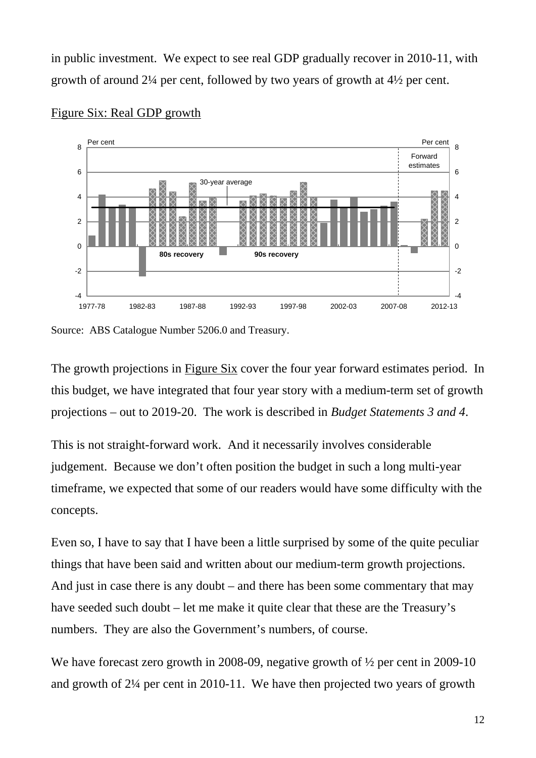in public investment. We expect to see real GDP gradually recover in 2010-11, with growth of around 2¼ per cent, followed by two years of growth at 4½ per cent.



#### Figure Six: Real GDP growth

Source: ABS Catalogue Number 5206.0 and Treasury.

The growth projections in Figure Six cover the four year forward estimates period. In this budget, we have integrated that four year story with a medium-term set of growth projections – out to 2019-20. The work is described in *Budget Statements 3 and 4*.

This is not straight-forward work. And it necessarily involves considerable judgement. Because we don't often position the budget in such a long multi-year timeframe, we expected that some of our readers would have some difficulty with the concepts.

Even so, I have to say that I have been a little surprised by some of the quite peculiar things that have been said and written about our medium-term growth projections. And just in case there is any doubt – and there has been some commentary that may have seeded such doubt – let me make it quite clear that these are the Treasury's numbers. They are also the Government's numbers, of course.

We have forecast zero growth in 2008-09, negative growth of  $\frac{1}{2}$  per cent in 2009-10 and growth of 2¼ per cent in 2010-11. We have then projected two years of growth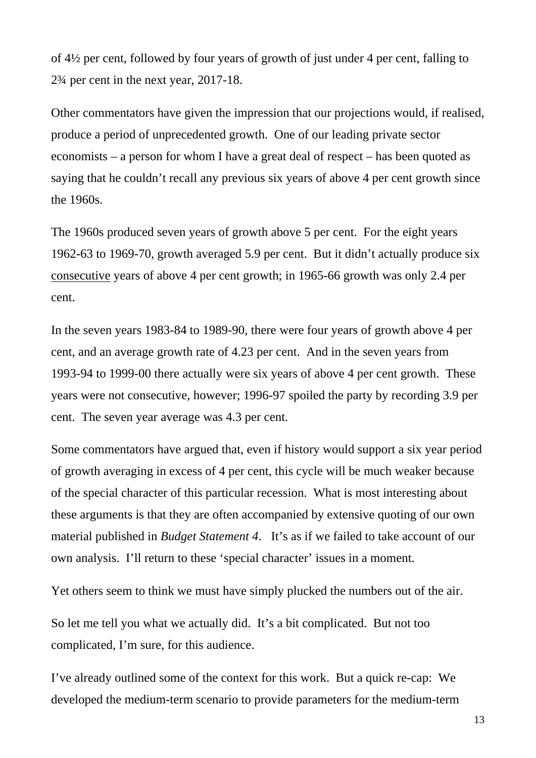of 4½ per cent, followed by four years of growth of just under 4 per cent, falling to 2¾ per cent in the next year, 2017-18.

Other commentators have given the impression that our projections would, if realised, produce a period of unprecedented growth. One of our leading private sector economists – a person for whom I have a great deal of respect – has been quoted as saying that he couldn't recall any previous six years of above 4 per cent growth since the 1960s.

The 1960s produced seven years of growth above 5 per cent. For the eight years 1962-63 to 1969-70, growth averaged 5.9 per cent. But it didn't actually produce six consecutive years of above 4 per cent growth; in 1965-66 growth was only 2.4 per cent.

In the seven years 1983-84 to 1989-90, there were four years of growth above 4 per cent, and an average growth rate of 4.23 per cent. And in the seven years from 1993-94 to 1999-00 there actually were six years of above 4 per cent growth. These years were not consecutive, however; 1996-97 spoiled the party by recording 3.9 per cent. The seven year average was 4.3 per cent.

Some commentators have argued that, even if history would support a six year period of growth averaging in excess of 4 per cent, this cycle will be much weaker because of the special character of this particular recession. What is most interesting about these arguments is that they are often accompanied by extensive quoting of our own material published in *Budget Statement 4*. It's as if we failed to take account of our own analysis. I'll return to these 'special character' issues in a moment.

Yet others seem to think we must have simply plucked the numbers out of the air.

So let me tell you what we actually did. It's a bit complicated. But not too complicated, I'm sure, for this audience.

I've already outlined some of the context for this work. But a quick re-cap: We developed the medium-term scenario to provide parameters for the medium-term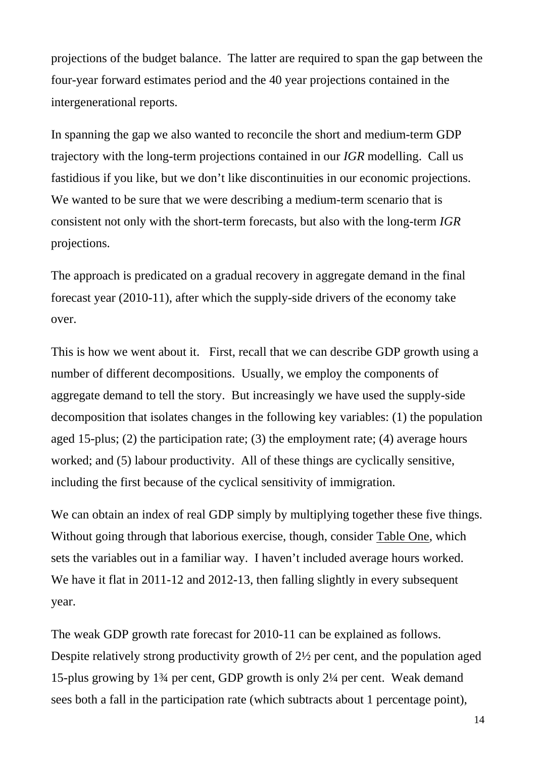projections of the budget balance. The latter are required to span the gap between the four-year forward estimates period and the 40 year projections contained in the intergenerational reports.

In spanning the gap we also wanted to reconcile the short and medium-term GDP trajectory with the long-term projections contained in our *IGR* modelling. Call us fastidious if you like, but we don't like discontinuities in our economic projections. We wanted to be sure that we were describing a medium-term scenario that is consistent not only with the short-term forecasts, but also with the long-term *IGR* projections.

The approach is predicated on a gradual recovery in aggregate demand in the final forecast year (2010-11), after which the supply-side drivers of the economy take over.

This is how we went about it. First, recall that we can describe GDP growth using a number of different decompositions. Usually, we employ the components of aggregate demand to tell the story. But increasingly we have used the supply-side decomposition that isolates changes in the following key variables: (1) the population aged 15-plus; (2) the participation rate; (3) the employment rate; (4) average hours worked; and (5) labour productivity. All of these things are cyclically sensitive, including the first because of the cyclical sensitivity of immigration.

We can obtain an index of real GDP simply by multiplying together these five things. Without going through that laborious exercise, though, consider Table One, which sets the variables out in a familiar way. I haven't included average hours worked. We have it flat in 2011-12 and 2012-13, then falling slightly in every subsequent year.

The weak GDP growth rate forecast for 2010-11 can be explained as follows. Despite relatively strong productivity growth of 2½ per cent, and the population aged 15-plus growing by 1¾ per cent, GDP growth is only 2¼ per cent. Weak demand sees both a fall in the participation rate (which subtracts about 1 percentage point),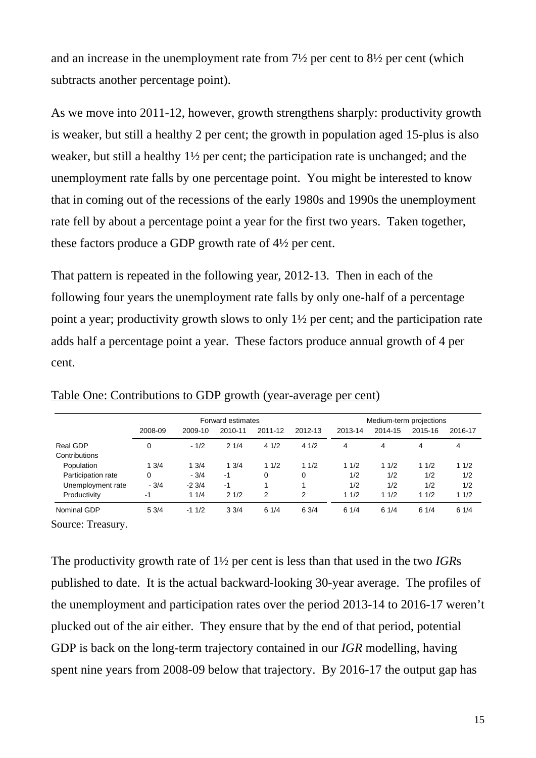and an increase in the unemployment rate from 7½ per cent to 8½ per cent (which subtracts another percentage point).

As we move into 2011-12, however, growth strengthens sharply: productivity growth is weaker, but still a healthy 2 per cent; the growth in population aged 15-plus is also weaker, but still a healthy 1½ per cent; the participation rate is unchanged; and the unemployment rate falls by one percentage point. You might be interested to know that in coming out of the recessions of the early 1980s and 1990s the unemployment rate fell by about a percentage point a year for the first two years. Taken together, these factors produce a GDP growth rate of 4½ per cent.

That pattern is repeated in the following year, 2012-13. Then in each of the following four years the unemployment rate falls by only one-half of a percentage point a year; productivity growth slows to only 1½ per cent; and the participation rate adds half a percentage point a year. These factors produce annual growth of 4 per cent.

|                                                                                                    | Forward estimates              |                                             |                                  |                        |                        | Medium-term projections         |                                 |                                 |                                 |             |      |         |      |      |      |      |      |      |      |
|----------------------------------------------------------------------------------------------------|--------------------------------|---------------------------------------------|----------------------------------|------------------------|------------------------|---------------------------------|---------------------------------|---------------------------------|---------------------------------|-------------|------|---------|------|------|------|------|------|------|------|
|                                                                                                    | 2008-09                        | 2009-10                                     | 2010-11                          | 2011-12                | 2012-13                | 2013-14                         | 2014-15                         | 2015-16                         | 2016-17                         |             |      |         |      |      |      |      |      |      |      |
| Real GDP<br>Contributions<br>Population<br>Participation rate<br>Unemployment rate<br>Productivity | 0<br>13/4<br>0<br>$-3/4$<br>-1 | $-1/2$<br>13/4<br>$-3/4$<br>$-23/4$<br>11/4 | 21/4<br>13/4<br>-1<br>-1<br>21/2 | 41/2<br>11/2<br>0<br>2 | 41/2<br>11/2<br>0<br>2 | 4<br>11/2<br>1/2<br>1/2<br>11/2 | 4<br>11/2<br>1/2<br>1/2<br>11/2 | 4<br>11/2<br>1/2<br>1/2<br>11/2 | 4<br>11/2<br>1/2<br>1/2<br>11/2 |             |      |         |      |      |      |      |      |      |      |
|                                                                                                    |                                |                                             |                                  |                        |                        |                                 |                                 |                                 |                                 | Nominal GDP | 53/4 | $-11/2$ | 33/4 | 61/4 | 63/4 | 61/4 | 61/4 | 61/4 | 61/4 |

Table One: Contributions to GDP growth (year-average per cent)

Source: Treasury.

The productivity growth rate of 1½ per cent is less than that used in the two *IGR*s published to date. It is the actual backward-looking 30-year average. The profiles of the unemployment and participation rates over the period 2013-14 to 2016-17 weren't plucked out of the air either. They ensure that by the end of that period, potential GDP is back on the long-term trajectory contained in our *IGR* modelling, having spent nine years from 2008-09 below that trajectory. By 2016-17 the output gap has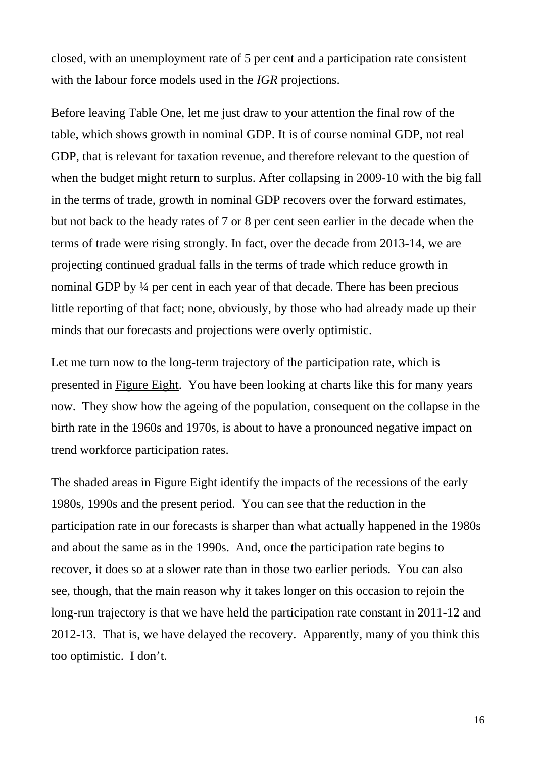closed, with an unemployment rate of 5 per cent and a participation rate consistent with the labour force models used in the *IGR* projections.

Before leaving Table One, let me just draw to your attention the final row of the table, which shows growth in nominal GDP. It is of course nominal GDP, not real GDP, that is relevant for taxation revenue, and therefore relevant to the question of when the budget might return to surplus. After collapsing in 2009-10 with the big fall in the terms of trade, growth in nominal GDP recovers over the forward estimates, but not back to the heady rates of 7 or 8 per cent seen earlier in the decade when the terms of trade were rising strongly. In fact, over the decade from 2013-14, we are projecting continued gradual falls in the terms of trade which reduce growth in nominal GDP by ¼ per cent in each year of that decade. There has been precious little reporting of that fact; none, obviously, by those who had already made up their minds that our forecasts and projections were overly optimistic.

Let me turn now to the long-term trajectory of the participation rate, which is presented in Figure Eight. You have been looking at charts like this for many years now. They show how the ageing of the population, consequent on the collapse in the birth rate in the 1960s and 1970s, is about to have a pronounced negative impact on trend workforce participation rates.

The shaded areas in Figure Eight identify the impacts of the recessions of the early 1980s, 1990s and the present period. You can see that the reduction in the participation rate in our forecasts is sharper than what actually happened in the 1980s and about the same as in the 1990s. And, once the participation rate begins to recover, it does so at a slower rate than in those two earlier periods. You can also see, though, that the main reason why it takes longer on this occasion to rejoin the long-run trajectory is that we have held the participation rate constant in 2011-12 and 2012-13. That is, we have delayed the recovery. Apparently, many of you think this too optimistic. I don't.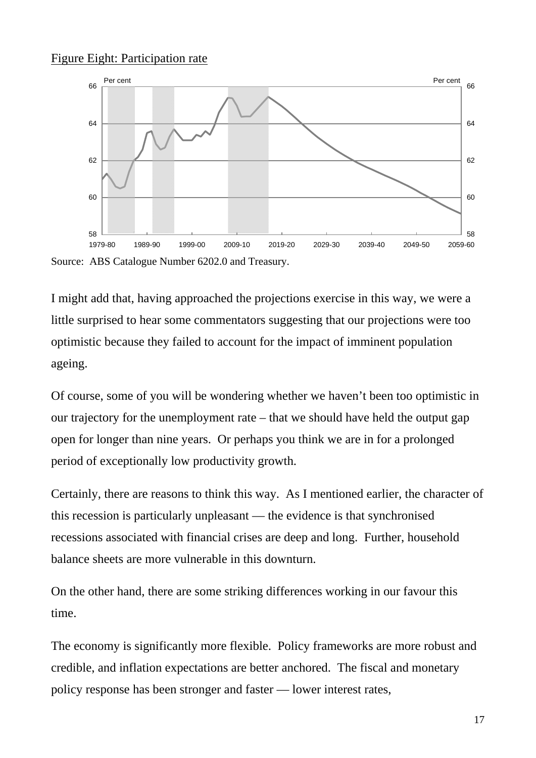# Figure Eight: Participation rate



Source: ABS Catalogue Number 6202.0 and Treasury.

I might add that, having approached the projections exercise in this way, we were a little surprised to hear some commentators suggesting that our projections were too optimistic because they failed to account for the impact of imminent population ageing.

Of course, some of you will be wondering whether we haven't been too optimistic in our trajectory for the unemployment rate – that we should have held the output gap open for longer than nine years. Or perhaps you think we are in for a prolonged period of exceptionally low productivity growth.

Certainly, there are reasons to think this way. As I mentioned earlier, the character of this recession is particularly unpleasant — the evidence is that synchronised recessions associated with financial crises are deep and long. Further, household balance sheets are more vulnerable in this downturn.

On the other hand, there are some striking differences working in our favour this time.

The economy is significantly more flexible. Policy frameworks are more robust and credible, and inflation expectations are better anchored. The fiscal and monetary policy response has been stronger and faster — lower interest rates,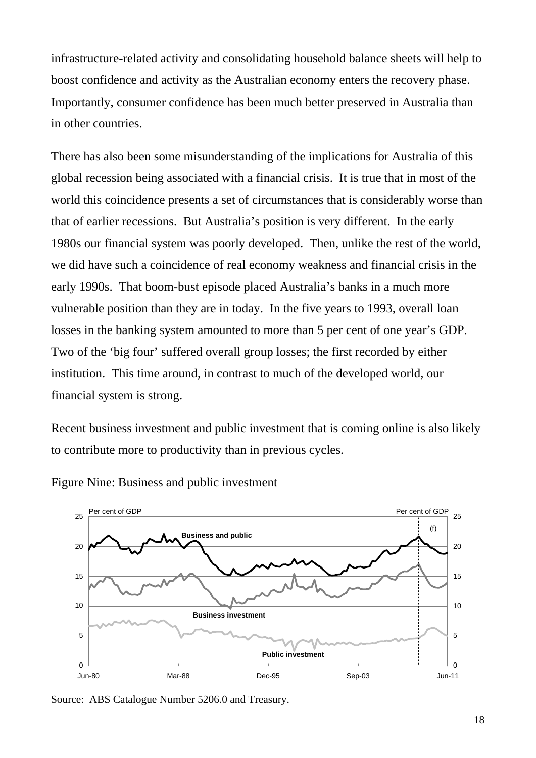infrastructure-related activity and consolidating household balance sheets will help to boost confidence and activity as the Australian economy enters the recovery phase. Importantly, consumer confidence has been much better preserved in Australia than in other countries.

There has also been some misunderstanding of the implications for Australia of this global recession being associated with a financial crisis. It is true that in most of the world this coincidence presents a set of circumstances that is considerably worse than that of earlier recessions. But Australia's position is very different. In the early 1980s our financial system was poorly developed. Then, unlike the rest of the world, we did have such a coincidence of real economy weakness and financial crisis in the early 1990s. That boom-bust episode placed Australia's banks in a much more vulnerable position than they are in today. In the five years to 1993, overall loan losses in the banking system amounted to more than 5 per cent of one year's GDP. Two of the 'big four' suffered overall group losses; the first recorded by either institution. This time around, in contrast to much of the developed world, our financial system is strong.

Recent business investment and public investment that is coming online is also likely to contribute more to productivity than in previous cycles.



#### Figure Nine: Business and public investment

Source: ABS Catalogue Number 5206.0 and Treasury.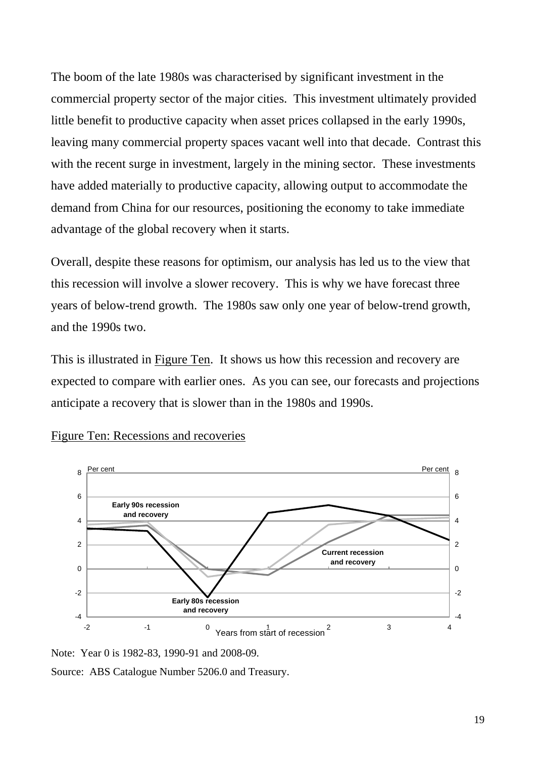The boom of the late 1980s was characterised by significant investment in the commercial property sector of the major cities. This investment ultimately provided little benefit to productive capacity when asset prices collapsed in the early 1990s, leaving many commercial property spaces vacant well into that decade. Contrast this with the recent surge in investment, largely in the mining sector. These investments have added materially to productive capacity, allowing output to accommodate the demand from China for our resources, positioning the economy to take immediate advantage of the global recovery when it starts.

Overall, despite these reasons for optimism, our analysis has led us to the view that this recession will involve a slower recovery. This is why we have forecast three years of below-trend growth. The 1980s saw only one year of below-trend growth, and the 1990s two.

This is illustrated in Figure Ten. It shows us how this recession and recovery are expected to compare with earlier ones. As you can see, our forecasts and projections anticipate a recovery that is slower than in the 1980s and 1990s.



Figure Ten: Recessions and recoveries

Source: ABS Catalogue Number 5206.0 and Treasury.

Note: Year 0 is 1982-83, 1990-91 and 2008-09.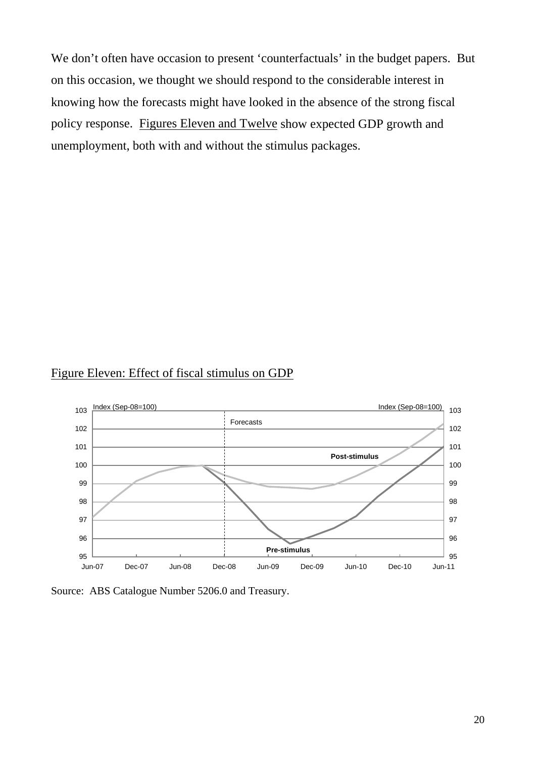We don't often have occasion to present 'counterfactuals' in the budget papers. But on this occasion, we thought we should respond to the considerable interest in knowing how the forecasts might have looked in the absence of the strong fiscal policy response. Figures Eleven and Twelve show expected GDP growth and unemployment, both with and without the stimulus packages.

#### Figure Eleven: Effect of fiscal stimulus on GDP



Source: ABS Catalogue Number 5206.0 and Treasury.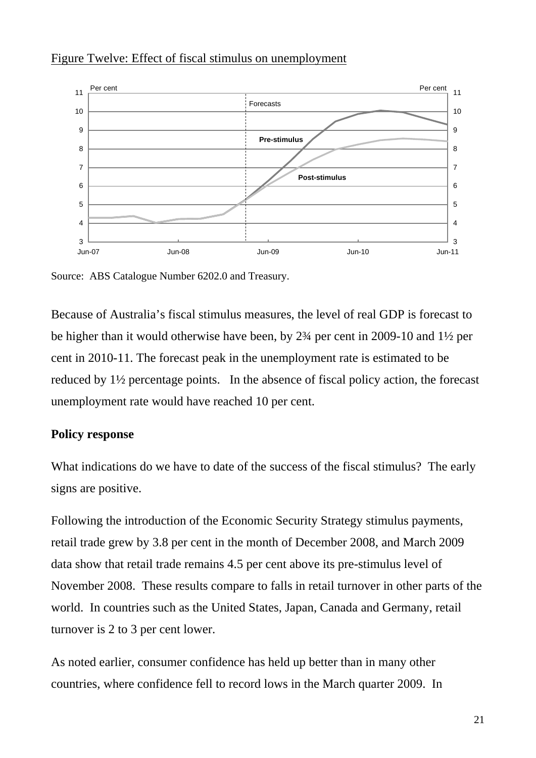

# Figure Twelve: Effect of fiscal stimulus on unemployment

Source: ABS Catalogue Number 6202.0 and Treasury.

Because of Australia's fiscal stimulus measures, the level of real GDP is forecast to be higher than it would otherwise have been, by 2¾ per cent in 2009-10 and 1½ per cent in 2010-11. The forecast peak in the unemployment rate is estimated to be reduced by 1½ percentage points. In the absence of fiscal policy action, the forecast unemployment rate would have reached 10 per cent.

# **Policy response**

What indications do we have to date of the success of the fiscal stimulus? The early signs are positive.

Following the introduction of the Economic Security Strategy stimulus payments, retail trade grew by 3.8 per cent in the month of December 2008, and March 2009 data show that retail trade remains 4.5 per cent above its pre-stimulus level of November 2008. These results compare to falls in retail turnover in other parts of the world. In countries such as the United States, Japan, Canada and Germany, retail turnover is 2 to 3 per cent lower.

As noted earlier, consumer confidence has held up better than in many other countries, where confidence fell to record lows in the March quarter 2009. In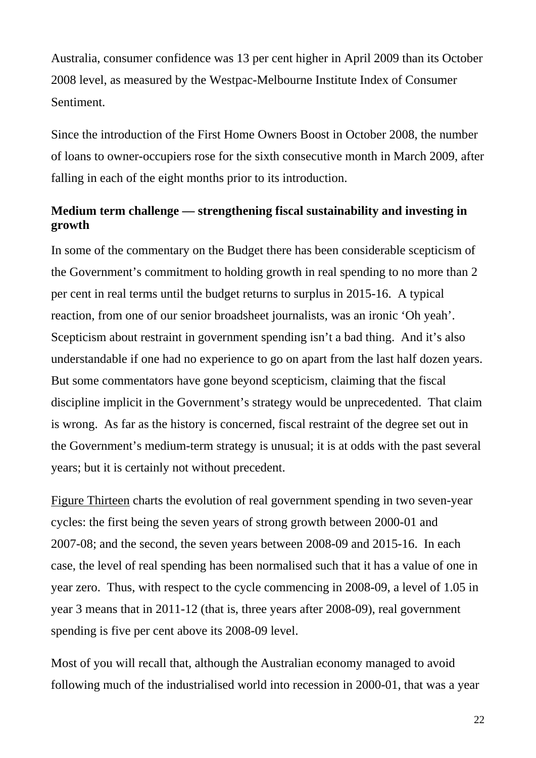Australia, consumer confidence was 13 per cent higher in April 2009 than its October 2008 level, as measured by the Westpac-Melbourne Institute Index of Consumer Sentiment.

Since the introduction of the First Home Owners Boost in October 2008, the number of loans to owner-occupiers rose for the sixth consecutive month in March 2009, after falling in each of the eight months prior to its introduction.

# **Medium term challenge — strengthening fiscal sustainability and investing in growth**

In some of the commentary on the Budget there has been considerable scepticism of the Government's commitment to holding growth in real spending to no more than 2 per cent in real terms until the budget returns to surplus in 2015-16. A typical reaction, from one of our senior broadsheet journalists, was an ironic 'Oh yeah'. Scepticism about restraint in government spending isn't a bad thing. And it's also understandable if one had no experience to go on apart from the last half dozen years. But some commentators have gone beyond scepticism, claiming that the fiscal discipline implicit in the Government's strategy would be unprecedented. That claim is wrong. As far as the history is concerned, fiscal restraint of the degree set out in the Government's medium-term strategy is unusual; it is at odds with the past several years; but it is certainly not without precedent.

Figure Thirteen charts the evolution of real government spending in two seven-year cycles: the first being the seven years of strong growth between 2000-01 and 2007-08; and the second, the seven years between 2008-09 and 2015-16. In each case, the level of real spending has been normalised such that it has a value of one in year zero. Thus, with respect to the cycle commencing in 2008-09, a level of 1.05 in year 3 means that in 2011-12 (that is, three years after 2008-09), real government spending is five per cent above its 2008-09 level.

Most of you will recall that, although the Australian economy managed to avoid following much of the industrialised world into recession in 2000-01, that was a year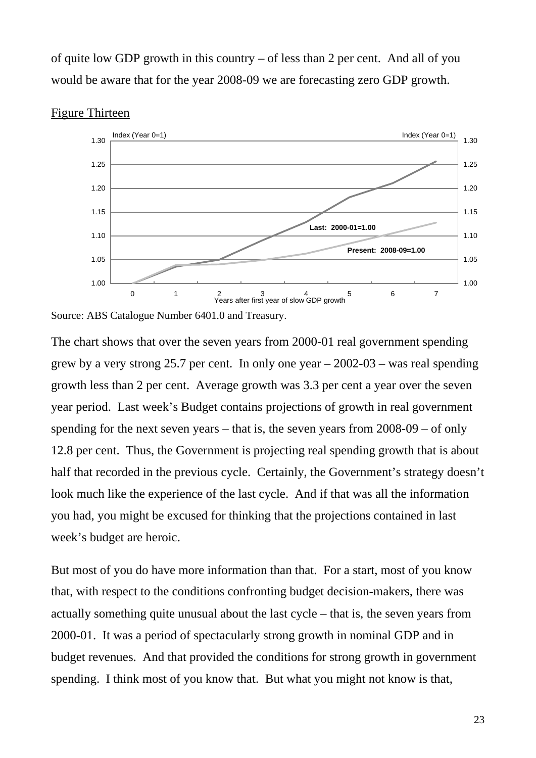of quite low GDP growth in this country – of less than 2 per cent. And all of you would be aware that for the year 2008-09 we are forecasting zero GDP growth.



#### Figure Thirteen

Source: ABS Catalogue Number 6401.0 and Treasury.

The chart shows that over the seven years from 2000-01 real government spending grew by a very strong 25.7 per cent. In only one year – 2002-03 – was real spending growth less than 2 per cent. Average growth was 3.3 per cent a year over the seven year period. Last week's Budget contains projections of growth in real government spending for the next seven years – that is, the seven years from 2008-09 – of only 12.8 per cent. Thus, the Government is projecting real spending growth that is about half that recorded in the previous cycle. Certainly, the Government's strategy doesn't look much like the experience of the last cycle. And if that was all the information you had, you might be excused for thinking that the projections contained in last week's budget are heroic.

But most of you do have more information than that. For a start, most of you know that, with respect to the conditions confronting budget decision-makers, there was actually something quite unusual about the last cycle – that is, the seven years from 2000-01. It was a period of spectacularly strong growth in nominal GDP and in budget revenues. And that provided the conditions for strong growth in government spending. I think most of you know that. But what you might not know is that,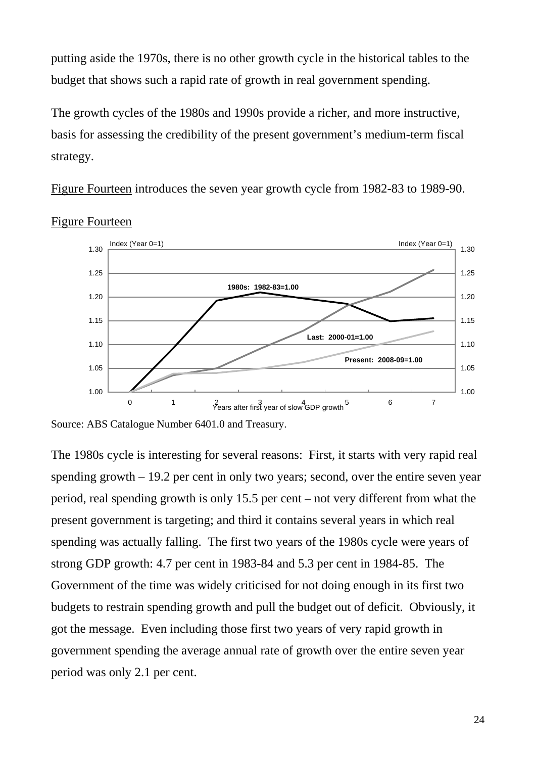putting aside the 1970s, there is no other growth cycle in the historical tables to the budget that shows such a rapid rate of growth in real government spending.

The growth cycles of the 1980s and 1990s provide a richer, and more instructive, basis for assessing the credibility of the present government's medium-term fiscal strategy.

Figure Fourteen introduces the seven year growth cycle from 1982-83 to 1989-90.



Figure Fourteen

The 1980s cycle is interesting for several reasons: First, it starts with very rapid real spending growth – 19.2 per cent in only two years; second, over the entire seven year period, real spending growth is only 15.5 per cent – not very different from what the present government is targeting; and third it contains several years in which real spending was actually falling. The first two years of the 1980s cycle were years of strong GDP growth: 4.7 per cent in 1983-84 and 5.3 per cent in 1984-85. The Government of the time was widely criticised for not doing enough in its first two budgets to restrain spending growth and pull the budget out of deficit. Obviously, it got the message. Even including those first two years of very rapid growth in government spending the average annual rate of growth over the entire seven year period was only 2.1 per cent.

Source: ABS Catalogue Number 6401.0 and Treasury.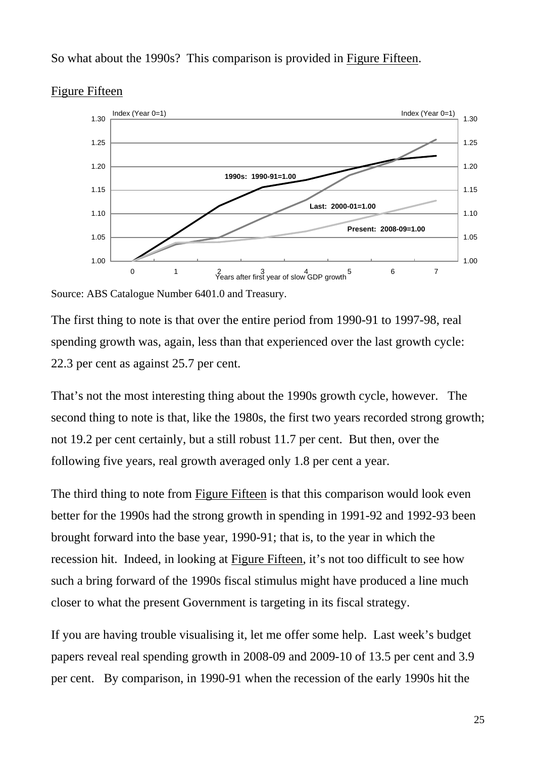# So what about the 1990s? This comparison is provided in Figure Fifteen.



### Figure Fifteen

Source: ABS Catalogue Number 6401.0 and Treasury.

The first thing to note is that over the entire period from 1990-91 to 1997-98, real spending growth was, again, less than that experienced over the last growth cycle: 22.3 per cent as against 25.7 per cent.

That's not the most interesting thing about the 1990s growth cycle, however. The second thing to note is that, like the 1980s, the first two years recorded strong growth; not 19.2 per cent certainly, but a still robust 11.7 per cent. But then, over the following five years, real growth averaged only 1.8 per cent a year.

The third thing to note from Figure Fifteen is that this comparison would look even better for the 1990s had the strong growth in spending in 1991-92 and 1992-93 been brought forward into the base year, 1990-91; that is, to the year in which the recession hit. Indeed, in looking at Figure Fifteen, it's not too difficult to see how such a bring forward of the 1990s fiscal stimulus might have produced a line much closer to what the present Government is targeting in its fiscal strategy.

If you are having trouble visualising it, let me offer some help. Last week's budget papers reveal real spending growth in 2008-09 and 2009-10 of 13.5 per cent and 3.9 per cent. By comparison, in 1990-91 when the recession of the early 1990s hit the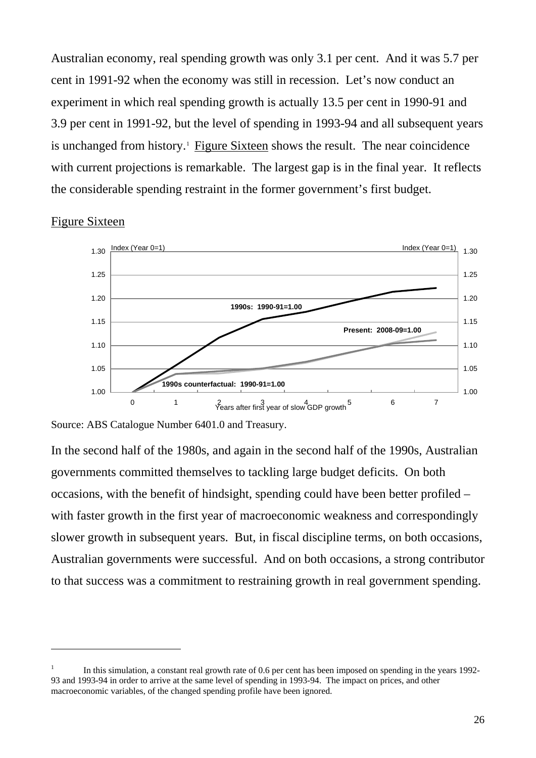Australian economy, real spending growth was only 3.1 per cent. And it was 5.7 per cent in 1991-92 when the economy was still in recession. Let's now conduct an experiment in which real spending growth is actually 13.5 per cent in 1990-91 and 3.9 per cent in 1991-92, but the level of spending in 1993-94 and all subsequent years is unchanged from history.<sup>[1](#page-25-0)</sup> Figure Sixteen shows the result. The near coincidence with current projections is remarkable. The largest gap is in the final year. It reflects the considerable spending restraint in the former government's first budget.

#### Figure Sixteen

 $\overline{a}$ 



Source: ABS Catalogue Number 6401.0 and Treasury.

In the second half of the 1980s, and again in the second half of the 1990s, Australian governments committed themselves to tackling large budget deficits. On both occasions, with the benefit of hindsight, spending could have been better profiled – with faster growth in the first year of macroeconomic weakness and correspondingly slower growth in subsequent years. But, in fiscal discipline terms, on both occasions, Australian governments were successful. And on both occasions, a strong contributor to that success was a commitment to restraining growth in real government spending.

<span id="page-25-0"></span><sup>1</sup> In this simulation, a constant real growth rate of 0.6 per cent has been imposed on spending in the years 1992- 93 and 1993-94 in order to arrive at the same level of spending in 1993-94. The impact on prices, and other macroeconomic variables, of the changed spending profile have been ignored.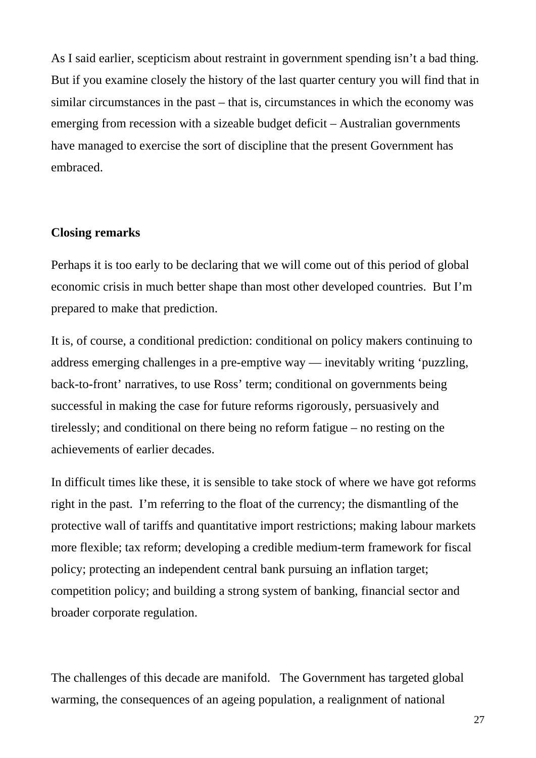As I said earlier, scepticism about restraint in government spending isn't a bad thing. But if you examine closely the history of the last quarter century you will find that in similar circumstances in the past – that is, circumstances in which the economy was emerging from recession with a sizeable budget deficit – Australian governments have managed to exercise the sort of discipline that the present Government has embraced.

#### **Closing remarks**

Perhaps it is too early to be declaring that we will come out of this period of global economic crisis in much better shape than most other developed countries. But I'm prepared to make that prediction.

It is, of course, a conditional prediction: conditional on policy makers continuing to address emerging challenges in a pre-emptive way — inevitably writing 'puzzling, back-to-front' narratives, to use Ross' term; conditional on governments being successful in making the case for future reforms rigorously, persuasively and tirelessly; and conditional on there being no reform fatigue – no resting on the achievements of earlier decades.

In difficult times like these, it is sensible to take stock of where we have got reforms right in the past. I'm referring to the float of the currency; the dismantling of the protective wall of tariffs and quantitative import restrictions; making labour markets more flexible; tax reform; developing a credible medium-term framework for fiscal policy; protecting an independent central bank pursuing an inflation target; competition policy; and building a strong system of banking, financial sector and broader corporate regulation.

The challenges of this decade are manifold. The Government has targeted global warming, the consequences of an ageing population, a realignment of national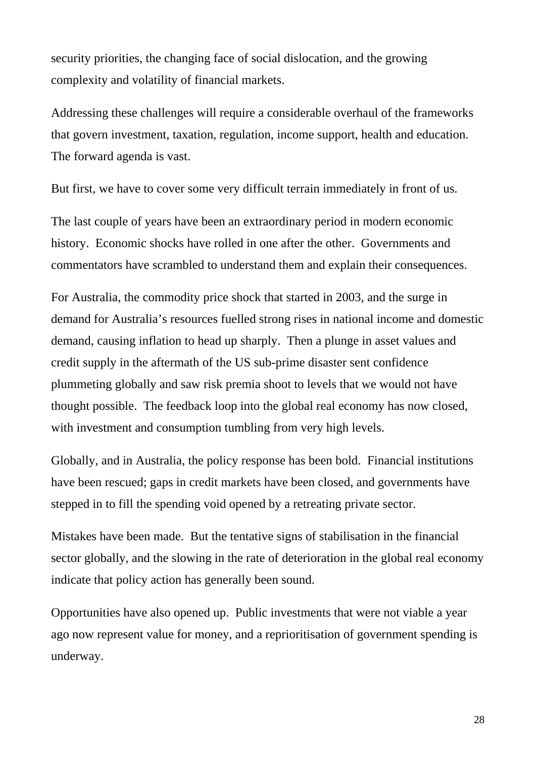security priorities, the changing face of social dislocation, and the growing complexity and volatility of financial markets.

Addressing these challenges will require a considerable overhaul of the frameworks that govern investment, taxation, regulation, income support, health and education. The forward agenda is vast.

But first, we have to cover some very difficult terrain immediately in front of us.

The last couple of years have been an extraordinary period in modern economic history. Economic shocks have rolled in one after the other. Governments and commentators have scrambled to understand them and explain their consequences.

For Australia, the commodity price shock that started in 2003, and the surge in demand for Australia's resources fuelled strong rises in national income and domestic demand, causing inflation to head up sharply. Then a plunge in asset values and credit supply in the aftermath of the US sub-prime disaster sent confidence plummeting globally and saw risk premia shoot to levels that we would not have thought possible. The feedback loop into the global real economy has now closed, with investment and consumption tumbling from very high levels.

Globally, and in Australia, the policy response has been bold. Financial institutions have been rescued; gaps in credit markets have been closed, and governments have stepped in to fill the spending void opened by a retreating private sector.

Mistakes have been made. But the tentative signs of stabilisation in the financial sector globally, and the slowing in the rate of deterioration in the global real economy indicate that policy action has generally been sound.

Opportunities have also opened up. Public investments that were not viable a year ago now represent value for money, and a reprioritisation of government spending is underway.